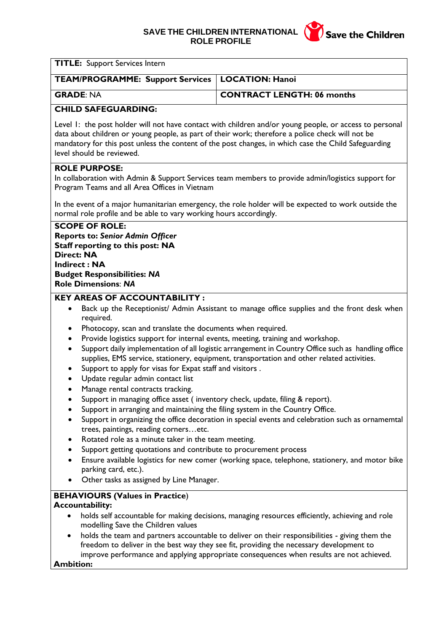# **SAVE THE CHILDREN INTERNATIONAL ROLE PROFILE**



| <b>TITLE:</b> Support Services Intern                                                                                                                                                                                                                                                                                                                                                                                                                                                                                                                                                                                                                                                                                                                                                                                                                                                                                                                                                                                                                                                                                                                                                                                                                              |                                                                                                                                                                                                                                                                                                                                                                                          |
|--------------------------------------------------------------------------------------------------------------------------------------------------------------------------------------------------------------------------------------------------------------------------------------------------------------------------------------------------------------------------------------------------------------------------------------------------------------------------------------------------------------------------------------------------------------------------------------------------------------------------------------------------------------------------------------------------------------------------------------------------------------------------------------------------------------------------------------------------------------------------------------------------------------------------------------------------------------------------------------------------------------------------------------------------------------------------------------------------------------------------------------------------------------------------------------------------------------------------------------------------------------------|------------------------------------------------------------------------------------------------------------------------------------------------------------------------------------------------------------------------------------------------------------------------------------------------------------------------------------------------------------------------------------------|
| <b>TEAM/PROGRAMME: Support Services</b>                                                                                                                                                                                                                                                                                                                                                                                                                                                                                                                                                                                                                                                                                                                                                                                                                                                                                                                                                                                                                                                                                                                                                                                                                            | <b>LOCATION: Hanoi</b>                                                                                                                                                                                                                                                                                                                                                                   |
| <b>GRADE: NA</b>                                                                                                                                                                                                                                                                                                                                                                                                                                                                                                                                                                                                                                                                                                                                                                                                                                                                                                                                                                                                                                                                                                                                                                                                                                                   | <b>CONTRACT LENGTH: 06 months</b>                                                                                                                                                                                                                                                                                                                                                        |
| <b>CHILD SAFEGUARDING:</b>                                                                                                                                                                                                                                                                                                                                                                                                                                                                                                                                                                                                                                                                                                                                                                                                                                                                                                                                                                                                                                                                                                                                                                                                                                         |                                                                                                                                                                                                                                                                                                                                                                                          |
| Level 1: the post holder will not have contact with children and/or young people, or access to personal<br>data about children or young people, as part of their work; therefore a police check will not be<br>mandatory for this post unless the content of the post changes, in which case the Child Safeguarding<br>level should be reviewed.                                                                                                                                                                                                                                                                                                                                                                                                                                                                                                                                                                                                                                                                                                                                                                                                                                                                                                                   |                                                                                                                                                                                                                                                                                                                                                                                          |
| <b>ROLE PURPOSE:</b><br>In collaboration with Admin & Support Services team members to provide admin/logistics support for<br>Program Teams and all Area Offices in Vietnam                                                                                                                                                                                                                                                                                                                                                                                                                                                                                                                                                                                                                                                                                                                                                                                                                                                                                                                                                                                                                                                                                        |                                                                                                                                                                                                                                                                                                                                                                                          |
| In the event of a major humanitarian emergency, the role holder will be expected to work outside the<br>normal role profile and be able to vary working hours accordingly.                                                                                                                                                                                                                                                                                                                                                                                                                                                                                                                                                                                                                                                                                                                                                                                                                                                                                                                                                                                                                                                                                         |                                                                                                                                                                                                                                                                                                                                                                                          |
| <b>SCOPE OF ROLE:</b><br><b>Reports to: Senior Admin Officer</b><br><b>Staff reporting to this post: NA</b><br><b>Direct: NA</b><br><b>Indirect: NA</b><br><b>Budget Responsibilities: NA</b><br><b>Role Dimensions: NA</b><br><b>KEY AREAS OF ACCOUNTABILITY:</b>                                                                                                                                                                                                                                                                                                                                                                                                                                                                                                                                                                                                                                                                                                                                                                                                                                                                                                                                                                                                 |                                                                                                                                                                                                                                                                                                                                                                                          |
| Back up the Receptionist/ Admin Assistant to manage office supplies and the front desk when<br>required.<br>Photocopy, scan and translate the documents when required.<br>٠<br>Provide logistics support for internal events, meeting, training and workshop.<br>$\bullet$<br>Support daily implementation of all logistic arrangement in Country Office such as handling office<br>$\bullet$<br>supplies, EMS service, stationery, equipment, transportation and other related activities.<br>Support to apply for visas for Expat staff and visitors.<br>٠<br>Update regular admin contact list<br>$\bullet$<br>Manage rental contracts tracking.<br>Support in managing office asset (inventory check, update, filing & report).<br>Support in arranging and maintaining the filing system in the Country Office.<br>Support in organizing the office decoration in special events and celebration such as ornamemtal<br>trees, paintings, reading cornersetc.<br>Rotated role as a minute taker in the team meeting.<br>Support getting quotations and contribute to procurement process<br>Ensure available logistics for new comer (working space, telephone, stationery, and motor bike<br>parking card, etc.).<br>Other tasks as assigned by Line Manager. |                                                                                                                                                                                                                                                                                                                                                                                          |
| <b>BEHAVIOURS (Values in Practice)</b><br><b>Accountability:</b><br>modelling Save the Children values<br><b>Ambition:</b>                                                                                                                                                                                                                                                                                                                                                                                                                                                                                                                                                                                                                                                                                                                                                                                                                                                                                                                                                                                                                                                                                                                                         | holds self accountable for making decisions, managing resources efficiently, achieving and role<br>holds the team and partners accountable to deliver on their responsibilities - giving them the<br>freedom to deliver in the best way they see fit, providing the necessary development to<br>improve performance and applying appropriate consequences when results are not achieved. |